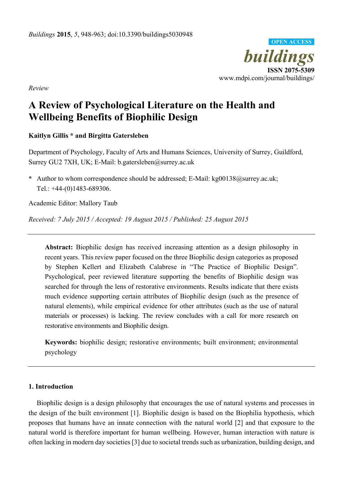

*Review* 

# **A Review of Psychological Literature on the Health and Wellbeing Benefits of Biophilic Design**

# **Kaitlyn Gillis \* and Birgitta Gatersleben**

Department of Psychology, Faculty of Arts and Humans Sciences, University of Surrey, Guildford, Surrey GU2 7XH, UK; E-Mail: b.gatersleben@surrey.ac.uk

**\*** Author to whom correspondence should be addressed; E-Mail: kg00138@surrey.ac.uk; Tel.: +44-(0)1483-689306.

Academic Editor: Mallory Taub

*Received: 7 July 2015 / Accepted: 19 August 2015 / Published: 25 August 2015* 

**Abstract:** Biophilic design has received increasing attention as a design philosophy in recent years. This review paper focused on the three Biophilic design categories as proposed by Stephen Kellert and Elizabeth Calabrese in "The Practice of Biophilic Design". Psychological, peer reviewed literature supporting the benefits of Biophilic design was searched for through the lens of restorative environments. Results indicate that there exists much evidence supporting certain attributes of Biophilic design (such as the presence of natural elements), while empirical evidence for other attributes (such as the use of natural materials or processes) is lacking. The review concludes with a call for more research on restorative environments and Biophilic design.

**Keywords:** biophilic design; restorative environments; built environment; environmental psychology

## **1. Introduction**

Biophilic design is a design philosophy that encourages the use of natural systems and processes in the design of the built environment [1]. Biophilic design is based on the Biophilia hypothesis, which proposes that humans have an innate connection with the natural world [2] and that exposure to the natural world is therefore important for human wellbeing. However, human interaction with nature is often lacking in modern day societies [3] due to societal trends such as urbanization, building design, and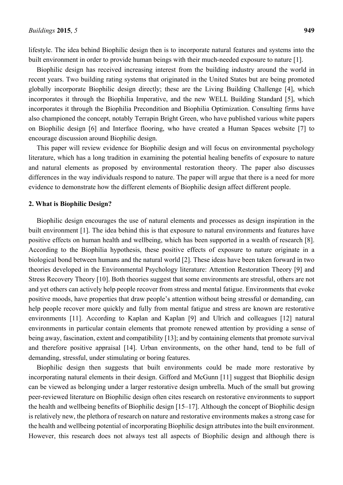lifestyle. The idea behind Biophilic design then is to incorporate natural features and systems into the built environment in order to provide human beings with their much-needed exposure to nature [1].

Biophilic design has received increasing interest from the building industry around the world in recent years. Two building rating systems that originated in the United States but are being promoted globally incorporate Biophilic design directly; these are the Living Building Challenge [4], which incorporates it through the Biophilia Imperative, and the new WELL Building Standard [5], which incorporates it through the Biophilia Precondition and Biophilia Optimization. Consulting firms have also championed the concept, notably Terrapin Bright Green, who have published various white papers on Biophilic design [6] and Interface flooring, who have created a Human Spaces website [7] to encourage discussion around Biophilic design.

This paper will review evidence for Biophilic design and will focus on environmental psychology literature, which has a long tradition in examining the potential healing benefits of exposure to nature and natural elements as proposed by environmental restoration theory. The paper also discusses differences in the way individuals respond to nature. The paper will argue that there is a need for more evidence to demonstrate how the different elements of Biophilic design affect different people.

#### **2. What is Biophilic Design?**

Biophilic design encourages the use of natural elements and processes as design inspiration in the built environment [1]. The idea behind this is that exposure to natural environments and features have positive effects on human health and wellbeing, which has been supported in a wealth of research [8]. According to the Biophilia hypothesis, these positive effects of exposure to nature originate in a biological bond between humans and the natural world [2]. These ideas have been taken forward in two theories developed in the Environmental Psychology literature: Attention Restoration Theory [9] and Stress Recovery Theory [10]. Both theories suggest that some environments are stressful, others are not and yet others can actively help people recover from stress and mental fatigue. Environments that evoke positive moods, have properties that draw people's attention without being stressful or demanding, can help people recover more quickly and fully from mental fatigue and stress are known are restorative environments [11]. According to Kaplan and Kaplan [9] and Ulrich and colleagues [12] natural environments in particular contain elements that promote renewed attention by providing a sense of being away, fascination, extent and compatibility [13]; and by containing elements that promote survival and therefore positive appraisal [14]. Urban environments, on the other hand, tend to be full of demanding, stressful, under stimulating or boring features.

Biophilic design then suggests that built environments could be made more restorative by incorporating natural elements in their design. Gifford and McGunn [11] suggest that Biophilic design can be viewed as belonging under a larger restorative design umbrella. Much of the small but growing peer-reviewed literature on Biophilic design often cites research on restorative environments to support the health and wellbeing benefits of Biophilic design [15–17]. Although the concept of Biophilic design is relatively new, the plethora of research on nature and restorative environments makes a strong case for the health and wellbeing potential of incorporating Biophilic design attributes into the built environment. However, this research does not always test all aspects of Biophilic design and although there is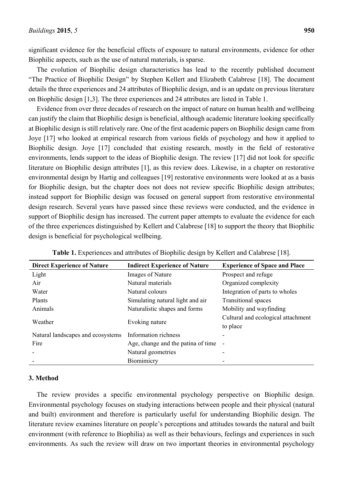significant evidence for the beneficial effects of exposure to natural environments, evidence for other Biophilic aspects, such as the use of natural materials, is sparse.

The evolution of Biophilic design characteristics has lead to the recently published document "The Practice of Biophilic Design" by Stephen Kellert and Elizabeth Calabrese [18]. The document details the three experiences and 24 attributes of Biophilic design, and is an update on previous literature on Biophilic design [1,3]. The three experiences and 24 attributes are listed in Table 1.

Evidence from over three decades of research on the impact of nature on human health and wellbeing can justify the claim that Biophilic design is beneficial, although academic literature looking specifically at Biophilic design is still relatively rare. One of the first academic papers on Biophilic design came from Joye [17] who looked at empirical research from various fields of psychology and how it applied to Biophilic design. Joye [17] concluded that existing research, mostly in the field of restorative environments, lends support to the ideas of Biophilic design. The review [17] did not look for specific literature on Biophilic design attributes [1], as this review does. Likewise, in a chapter on restorative environmental design by Hartig and colleagues [19] restorative environments were looked at as a basis for Biophilic design, but the chapter does not does not review specific Biophilic design attributes; instead support for Biophilic design was focused on general support from restorative environmental design research. Several years have passed since these reviews were conducted, and the evidence in support of Biophilic design has increased. The current paper attempts to evaluate the evidence for each of the three experiences distinguished by Kellert and Calabrese [18] to support the theory that Biophilic design is beneficial for psychological wellbeing.

| <b>Direct Experience of Nature</b> | <b>Indirect Experience of Nature</b> | <b>Experience of Space and Place</b> |
|------------------------------------|--------------------------------------|--------------------------------------|
| Light                              | Images of Nature                     | Prospect and refuge                  |
| Air                                | Natural materials                    | Organized complexity                 |
| Water                              | Natural colours                      | Integration of parts to wholes       |
| Plants                             | Simulating natural light and air     | <b>Transitional spaces</b>           |
| Animals                            | Naturalistic shapes and forms        | Mobility and wayfinding              |
| Weather                            | Evoking nature                       | Cultural and ecological attachment   |
|                                    |                                      | to place                             |
| Natural landscapes and ecosystems  | Information richness                 |                                      |
| Fire                               | Age, change and the patina of time   |                                      |
|                                    | Natural geometries                   |                                      |
|                                    | Biomimicry                           |                                      |

## **3. Method**

The review provides a specific environmental psychology perspective on Biophilic design. Environmental psychology focuses on studying interactions between people and their physical (natural and built) environment and therefore is particularly useful for understanding Biophilic design. The literature review examines literature on people's perceptions and attitudes towards the natural and built environment (with reference to Biophilia) as well as their behaviours, feelings and experiences in such environments. As such the review will draw on two important theories in environmental psychology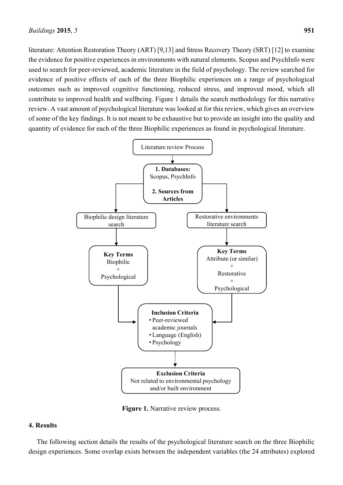literature: Attention Restoration Theory (ART) [9,13] and Stress Recovery Theory (SRT) [12] to examine the evidence for positive experiences in environments with natural elements. Scopus and PsychInfo were used to search for peer-reviewed, academic literature in the field of psychology. The review searched for evidence of positive effects of each of the three Biophilic experiences on a range of psychological outcomes such as improved cognitive functioning, reduced stress, and improved mood, which all contribute to improved health and wellbeing. Figure 1 details the search methodology for this narrative review. A vast amount of psychological literature was looked at for this review, which gives an overview of some of the key findings. It is not meant to be exhaustive but to provide an insight into the quality and quantity of evidence for each of the three Biophilic experiences as found in psychological literature.



**Figure 1.** Narrative review process.

## **4. Results**

The following section details the results of the psychological literature search on the three Biophilic design experiences. Some overlap exists between the independent variables (the 24 attributes) explored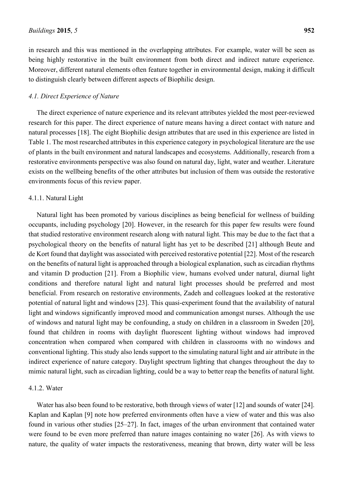in research and this was mentioned in the overlapping attributes. For example, water will be seen as being highly restorative in the built environment from both direct and indirect nature experience. Moreover, different natural elements often feature together in environmental design, making it difficult to distinguish clearly between different aspects of Biophilic design.

#### *4.1. Direct Experience of Nature*

The direct experience of nature experience and its relevant attributes yielded the most peer-reviewed research for this paper. The direct experience of nature means having a direct contact with nature and natural processes [18]. The eight Biophilic design attributes that are used in this experience are listed in Table 1. The most researched attributes in this experience category in psychological literature are the use of plants in the built environment and natural landscapes and ecosystems. Additionally, research from a restorative environments perspective was also found on natural day, light, water and weather. Literature exists on the wellbeing benefits of the other attributes but inclusion of them was outside the restorative environments focus of this review paper.

#### 4.1.1. Natural Light

Natural light has been promoted by various disciplines as being beneficial for wellness of building occupants, including psychology [20]. However, in the research for this paper few results were found that studied restorative environment research along with natural light. This may be due to the fact that a psychological theory on the benefits of natural light has yet to be described [21] although Beute and de Kort found that daylight was associated with perceived restorative potential [22]. Most of the research on the benefits of natural light is approached through a biological explanation, such as circadian rhythms and vitamin D production [21]. From a Biophilic view, humans evolved under natural, diurnal light conditions and therefore natural light and natural light processes should be preferred and most beneficial. From research on restorative environments, Zadeh and colleagues looked at the restorative potential of natural light and windows [23]. This quasi-experiment found that the availability of natural light and windows significantly improved mood and communication amongst nurses. Although the use of windows and natural light may be confounding, a study on children in a classroom in Sweden [20], found that children in rooms with daylight fluorescent lighting without windows had improved concentration when compared when compared with children in classrooms with no windows and conventional lighting. This study also lends support to the simulating natural light and air attribute in the indirect experience of nature category. Daylight spectrum lighting that changes throughout the day to mimic natural light, such as circadian lighting, could be a way to better reap the benefits of natural light.

#### 4.1.2. Water

Water has also been found to be restorative, both through views of water [12] and sounds of water [24]. Kaplan and Kaplan [9] note how preferred environments often have a view of water and this was also found in various other studies [25–27]. In fact, images of the urban environment that contained water were found to be even more preferred than nature images containing no water [26]. As with views to nature, the quality of water impacts the restorativeness, meaning that brown, dirty water will be less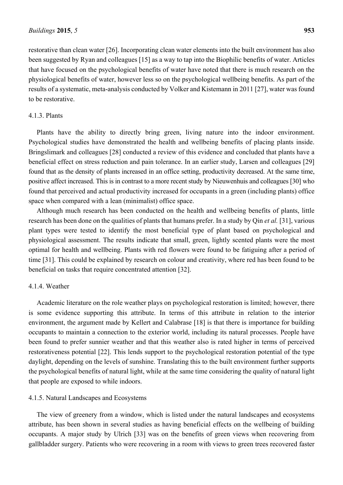restorative than clean water [26]. Incorporating clean water elements into the built environment has also been suggested by Ryan and colleagues [15] as a way to tap into the Biophilic benefits of water. Articles that have focused on the psychological benefits of water have noted that there is much research on the physiological benefits of water, however less so on the psychological wellbeing benefits. As part of the

4.1.3. Plants

to be restorative.

Plants have the ability to directly bring green, living nature into the indoor environment. Psychological studies have demonstrated the health and wellbeing benefits of placing plants inside. Bringslimark and colleagues [28] conducted a review of this evidence and concluded that plants have a beneficial effect on stress reduction and pain tolerance. In an earlier study, Larsen and colleagues [29] found that as the density of plants increased in an office setting, productivity decreased. At the same time, positive affect increased. This is in contrast to a more recent study by Nieuwenhuis and colleagues [30] who found that perceived and actual productivity increased for occupants in a green (including plants) office space when compared with a lean (minimalist) office space.

results of a systematic, meta-analysis conducted by Volker and Kistemann in 2011 [27], water was found

Although much research has been conducted on the health and wellbeing benefits of plants, little research has been done on the qualities of plants that humans prefer. In a study by Qin *et al.* [31], various plant types were tested to identify the most beneficial type of plant based on psychological and physiological assessment. The results indicate that small, green, lightly scented plants were the most optimal for health and wellbeing. Plants with red flowers were found to be fatiguing after a period of time [31]. This could be explained by research on colour and creativity, where red has been found to be beneficial on tasks that require concentrated attention [32].

#### 4.1.4. Weather

Academic literature on the role weather plays on psychological restoration is limited; however, there is some evidence supporting this attribute. In terms of this attribute in relation to the interior environment, the argument made by Kellert and Calabrase [18] is that there is importance for building occupants to maintain a connection to the exterior world, including its natural processes. People have been found to prefer sunnier weather and that this weather also is rated higher in terms of perceived restorativeness potential [22]. This lends support to the psychological restoration potential of the type daylight, depending on the levels of sunshine. Translating this to the built environment further supports the psychological benefits of natural light, while at the same time considering the quality of natural light that people are exposed to while indoors.

#### 4.1.5. Natural Landscapes and Ecosystems

The view of greenery from a window, which is listed under the natural landscapes and ecosystems attribute, has been shown in several studies as having beneficial effects on the wellbeing of building occupants. A major study by Ulrich [33] was on the benefits of green views when recovering from gallbladder surgery. Patients who were recovering in a room with views to green trees recovered faster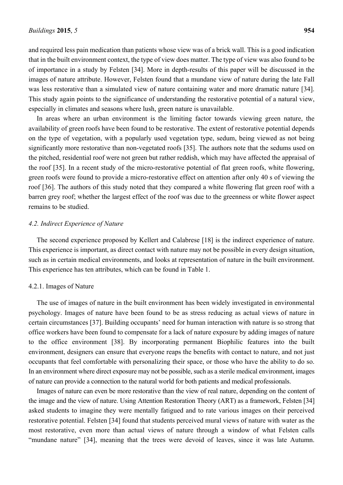and required less pain medication than patients whose view was of a brick wall. This is a good indication that in the built environment context, the type of view does matter. The type of view was also found to be of importance in a study by Felsten [34]. More in depth-results of this paper will be discussed in the images of nature attribute. However, Felsten found that a mundane view of nature during the late Fall was less restorative than a simulated view of nature containing water and more dramatic nature [34]. This study again points to the significance of understanding the restorative potential of a natural view, especially in climates and seasons where lush, green nature is unavailable.

In areas where an urban environment is the limiting factor towards viewing green nature, the availability of green roofs have been found to be restorative. The extent of restorative potential depends on the type of vegetation, with a popularly used vegetation type, sedum, being viewed as not being significantly more restorative than non-vegetated roofs [35]. The authors note that the sedums used on the pitched, residential roof were not green but rather reddish, which may have affected the appraisal of the roof [35]. In a recent study of the micro-restorative potential of flat green roofs, white flowering, green roofs were found to provide a micro-restorative effect on attention after only 40 s of viewing the roof [36]. The authors of this study noted that they compared a white flowering flat green roof with a barren grey roof; whether the largest effect of the roof was due to the greenness or white flower aspect remains to be studied.

### *4.2. Indirect Experience of Nature*

The second experience proposed by Kellert and Calabrese [18] is the indirect experience of nature. This experience is important, as direct contact with nature may not be possible in every design situation, such as in certain medical environments, and looks at representation of nature in the built environment. This experience has ten attributes, which can be found in Table 1.

#### 4.2.1. Images of Nature

The use of images of nature in the built environment has been widely investigated in environmental psychology. Images of nature have been found to be as stress reducing as actual views of nature in certain circumstances [37]. Building occupants' need for human interaction with nature is so strong that office workers have been found to compensate for a lack of nature exposure by adding images of nature to the office environment [38]. By incorporating permanent Biophilic features into the built environment, designers can ensure that everyone reaps the benefits with contact to nature, and not just occupants that feel comfortable with personalizing their space, or those who have the ability to do so. In an environment where direct exposure may not be possible, such as a sterile medical environment, images of nature can provide a connection to the natural world for both patients and medical professionals.

Images of nature can even be more restorative than the view of real nature, depending on the content of the image and the view of nature. Using Attention Restoration Theory (ART) as a framework, Felsten [34] asked students to imagine they were mentally fatigued and to rate various images on their perceived restorative potential. Felsten [34] found that students perceived mural views of nature with water as the most restorative, even more than actual views of nature through a window of what Felsten calls "mundane nature" [34], meaning that the trees were devoid of leaves, since it was late Autumn.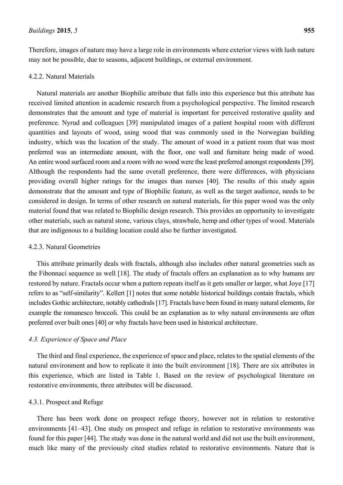Therefore, images of nature may have a large role in environments where exterior views with lush nature may not be possible, due to seasons, adjacent buildings, or external environment.

#### 4.2.2. Natural Materials

Natural materials are another Biophilic attribute that falls into this experience but this attribute has received limited attention in academic research from a psychological perspective. The limited research demonstrates that the amount and type of material is important for perceived restorative quality and preference. Nyrud and colleagues [39] manipulated images of a patient hospital room with different quantities and layouts of wood, using wood that was commonly used in the Norwegian building industry, which was the location of the study. The amount of wood in a patient room that was most preferred was an intermediate amount, with the floor, one wall and furniture being made of wood. An entire wood surfaced room and a room with no wood were the least preferred amongst respondents [39]. Although the respondents had the same overall preference, there were differences, with physicians providing overall higher ratings for the images than nurses [40]. The results of this study again demonstrate that the amount and type of Biophilic feature, as well as the target audience, needs to be considered in design. In terms of other research on natural materials, for this paper wood was the only material found that was related to Biophilic design research. This provides an opportunity to investigate other materials, such as natural stone, various clays, strawbale, hemp and other types of wood. Materials that are indigenous to a building location could also be further investigated.

## 4.2.3. Natural Geometries

This attribute primarily deals with fractals, although also includes other natural geometries such as the Fibonnaci sequence as well [18]. The study of fractals offers an explanation as to why humans are restored by nature. Fractals occur when a pattern repeats itself as it gets smaller or larger, what Joye [17] refers to as "self-similarity". Kellert [1] notes that some notable historical buildings contain fractals, which includes Gothic architecture, notably cathedrals [17]. Fractals have been found in many natural elements, for example the romanesco broccoli. This could be an explanation as to why natural environments are often preferred over built ones [40] or why fractals have been used in historical architecture.

#### *4.3. Experience of Space and Place*

The third and final experience, the experience of space and place, relates to the spatial elements of the natural environment and how to replicate it into the built environment [18]. There are six attributes in this experience, which are listed in Table 1. Based on the review of psychological literature on restorative environments, three attributes will be discussed.

#### 4.3.1. Prospect and Refuge

There has been work done on prospect refuge theory, however not in relation to restorative environments [41–43]. One study on prospect and refuge in relation to restorative environments was found for this paper [44]. The study was done in the natural world and did not use the built environment, much like many of the previously cited studies related to restorative environments. Nature that is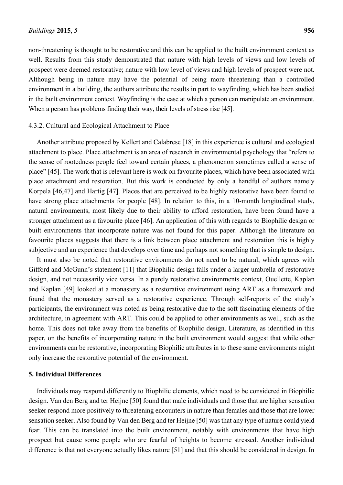non-threatening is thought to be restorative and this can be applied to the built environment context as well. Results from this study demonstrated that nature with high levels of views and low levels of prospect were deemed restorative; nature with low level of views and high levels of prospect were not. Although being in nature may have the potential of being more threatening than a controlled environment in a building, the authors attribute the results in part to wayfinding, which has been studied in the built environment context. Wayfinding is the ease at which a person can manipulate an environment. When a person has problems finding their way, their levels of stress rise [45].

#### 4.3.2. Cultural and Ecological Attachment to Place

Another attribute proposed by Kellert and Calabrese [18] in this experience is cultural and ecological attachment to place. Place attachment is an area of research in environmental psychology that "refers to the sense of rootedness people feel toward certain places, a phenomenon sometimes called a sense of place" [45]. The work that is relevant here is work on favourite places, which have been associated with place attachment and restoration. But this work is conducted by only a handful of authors namely Korpela [46,47] and Hartig [47]. Places that are perceived to be highly restorative have been found to have strong place attachments for people [48]. In relation to this, in a 10-month longitudinal study, natural environments, most likely due to their ability to afford restoration, have been found have a stronger attachment as a favourite place [46]. An application of this with regards to Biophilic design or built environments that incorporate nature was not found for this paper. Although the literature on favourite places suggests that there is a link between place attachment and restoration this is highly subjective and an experience that develops over time and perhaps not something that is simple to design.

It must also be noted that restorative environments do not need to be natural, which agrees with Gifford and McGunn's statement [11] that Biophilic design falls under a larger umbrella of restorative design, and not necessarily vice versa. In a purely restorative environments context, Ouellette, Kaplan and Kaplan [49] looked at a monastery as a restorative environment using ART as a framework and found that the monastery served as a restorative experience. Through self-reports of the study's participants, the environment was noted as being restorative due to the soft fascinating elements of the architecture, in agreement with ART. This could be applied to other environments as well, such as the home. This does not take away from the benefits of Biophilic design. Literature, as identified in this paper, on the benefits of incorporating nature in the built environment would suggest that while other environments can be restorative, incorporating Biophilic attributes in to these same environments might only increase the restorative potential of the environment.

#### **5. Individual Differences**

Individuals may respond differently to Biophilic elements, which need to be considered in Biophilic design. Van den Berg and ter Heijne [50] found that male individuals and those that are higher sensation seeker respond more positively to threatening encounters in nature than females and those that are lower sensation seeker. Also found by Van den Berg and ter Heijne [50] was that any type of nature could yield fear. This can be translated into the built environment, notably with environments that have high prospect but cause some people who are fearful of heights to become stressed. Another individual difference is that not everyone actually likes nature [51] and that this should be considered in design. In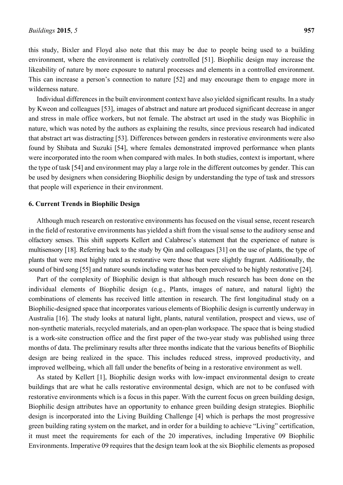this study, Bixler and Floyd also note that this may be due to people being used to a building environment, where the environment is relatively controlled [51]. Biophilic design may increase the likeability of nature by more exposure to natural processes and elements in a controlled environment. This can increase a person's connection to nature [52] and may encourage them to engage more in wilderness nature.

Individual differences in the built environment context have also yielded significant results. In a study by Kweon and colleagues [53], images of abstract and nature art produced significant decrease in anger and stress in male office workers, but not female. The abstract art used in the study was Biophilic in nature, which was noted by the authors as explaining the results, since previous research had indicated that abstract art was distracting [53]. Differences between genders in restorative environments were also found by Shibata and Suzuki [54], where females demonstrated improved performance when plants were incorporated into the room when compared with males. In both studies, context is important, where the type of task [54] and environment may play a large role in the different outcomes by gender. This can be used by designers when considering Biophilic design by understanding the type of task and stressors that people will experience in their environment.

#### **6. Current Trends in Biophilic Design**

Although much research on restorative environments has focused on the visual sense, recent research in the field of restorative environments has yielded a shift from the visual sense to the auditory sense and olfactory senses. This shift supports Kellert and Calabrese's statement that the experience of nature is multisensory [18]. Referring back to the study by Qin and colleagues [31] on the use of plants, the type of plants that were most highly rated as restorative were those that were slightly fragrant. Additionally, the sound of bird song [55] and nature sounds including water has been perceived to be highly restorative [24].

Part of the complexity of Biophilic design is that although much research has been done on the individual elements of Biophilic design (e.g., Plants, images of nature, and natural light) the combinations of elements has received little attention in research. The first longitudinal study on a Biophilic-designed space that incorporates various elements of Biophilic design is currently underway in Australia [16]. The study looks at natural light, plants, natural ventilation, prospect and views, use of non-synthetic materials, recycled materials, and an open-plan workspace. The space that is being studied is a work-site construction office and the first paper of the two-year study was published using three months of data. The preliminary results after three months indicate that the various benefits of Biophilic design are being realized in the space. This includes reduced stress, improved productivity, and improved wellbeing, which all fall under the benefits of being in a restorative environment as well.

As stated by Kellert [1], Biophilic design works with low-impact environmental design to create buildings that are what he calls restorative environmental design, which are not to be confused with restorative environments which is a focus in this paper. With the current focus on green building design, Biophilic design attributes have an opportunity to enhance green building design strategies. Biophilic design is incorporated into the Living Building Challenge [4] which is perhaps the most progressive green building rating system on the market, and in order for a building to achieve "Living" certification, it must meet the requirements for each of the 20 imperatives, including Imperative 09 Biophilic Environments. Imperative 09 requires that the design team look at the six Biophilic elements as proposed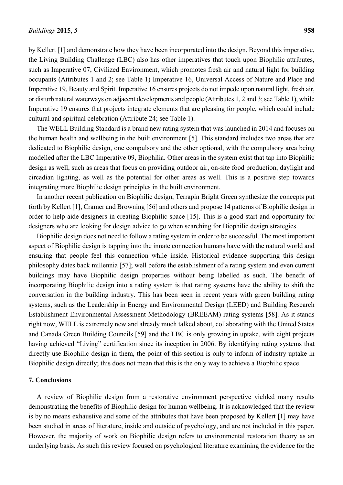Imperative 19, Beauty and Spirit. Imperative 16 ensures projects do not impede upon natural light, fresh air, or disturb natural waterways on adjacent developments and people (Attributes 1, 2 and 3; see Table 1), while Imperative 19 ensures that projects integrate elements that are pleasing for people, which could include cultural and spiritual celebration (Attribute 24; see Table 1).

The WELL Building Standard is a brand new rating system that was launched in 2014 and focuses on the human health and wellbeing in the built environment [5]. This standard includes two areas that are dedicated to Biophilic design, one compulsory and the other optional, with the compulsory area being modelled after the LBC Imperative 09, Biophilia. Other areas in the system exist that tap into Biophilic design as well, such as areas that focus on providing outdoor air, on-site food production, daylight and circadian lighting, as well as the potential for other areas as well. This is a positive step towards integrating more Biophilic design principles in the built environment.

In another recent publication on Biophilic design, Terrapin Bright Green synthesize the concepts put forth by Kellert [1], Cramer and Browning [56] and others and propose 14 patterns of Biophilic design in order to help aide designers in creating Biophilic space [15]. This is a good start and opportunity for designers who are looking for design advice to go when searching for Biophilic design strategies.

Biophilic design does not need to follow a rating system in order to be successful. The most important aspect of Biophilic design is tapping into the innate connection humans have with the natural world and ensuring that people feel this connection while inside. Historical evidence supporting this design philosophy dates back millennia [57]; well before the establishment of a rating system and even current buildings may have Biophilic design properties without being labelled as such. The benefit of incorporating Biophilic design into a rating system is that rating systems have the ability to shift the conversation in the building industry. This has been seen in recent years with green building rating systems, such as the Leadership in Energy and Environmental Design (LEED) and Building Research Establishment Environmental Assessment Methodology (BREEAM) rating systems [58]. As it stands right now, WELL is extremely new and already much talked about, collaborating with the United States and Canada Green Building Councils [59] and the LBC is only growing in uptake, with eight projects having achieved "Living" certification since its inception in 2006. By identifying rating systems that directly use Biophilic design in them, the point of this section is only to inform of industry uptake in Biophilic design directly; this does not mean that this is the only way to achieve a Biophilic space.

## **7. Conclusions**

A review of Biophilic design from a restorative environment perspective yielded many results demonstrating the benefits of Biophilic design for human wellbeing. It is acknowledged that the review is by no means exhaustive and some of the attributes that have been proposed by Kellert [1] may have been studied in areas of literature, inside and outside of psychology, and are not included in this paper. However, the majority of work on Biophilic design refers to environmental restoration theory as an underlying basis. As such this review focused on psychological literature examining the evidence for the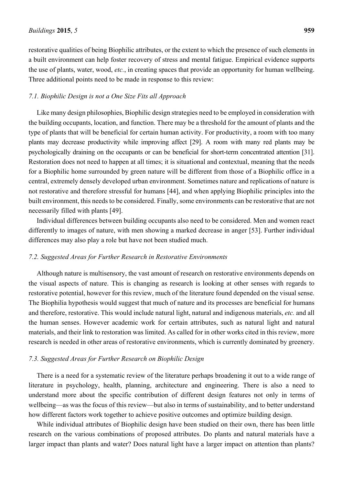restorative qualities of being Biophilic attributes, or the extent to which the presence of such elements in a built environment can help foster recovery of stress and mental fatigue. Empirical evidence supports the use of plants, water, wood, *etc.*, in creating spaces that provide an opportunity for human wellbeing. Three additional points need to be made in response to this review:

#### *7.1. Biophilic Design is not a One Size Fits all Approach*

Like many design philosophies, Biophilic design strategies need to be employed in consideration with the building occupants, location, and function. There may be a threshold for the amount of plants and the type of plants that will be beneficial for certain human activity. For productivity, a room with too many plants may decrease productivity while improving affect [29]. A room with many red plants may be psychologically draining on the occupants or can be beneficial for short-term concentrated attention [31]. Restoration does not need to happen at all times; it is situational and contextual, meaning that the needs for a Biophilic home surrounded by green nature will be different from those of a Biophilic office in a central, extremely densely developed urban environment. Sometimes nature and replications of nature is not restorative and therefore stressful for humans [44], and when applying Biophilic principles into the built environment, this needs to be considered. Finally, some environments can be restorative that are not necessarily filled with plants [49].

Individual differences between building occupants also need to be considered. Men and women react differently to images of nature, with men showing a marked decrease in anger [53]. Further individual differences may also play a role but have not been studied much.

#### *7.2. Suggested Areas for Further Research in Restorative Environments*

Although nature is multisensory, the vast amount of research on restorative environments depends on the visual aspects of nature. This is changing as research is looking at other senses with regards to restorative potential, however for this review, much of the literature found depended on the visual sense. The Biophilia hypothesis would suggest that much of nature and its processes are beneficial for humans and therefore, restorative. This would include natural light, natural and indigenous materials, *etc.* and all the human senses. However academic work for certain attributes, such as natural light and natural materials, and their link to restoration was limited. As called for in other works cited in this review, more research is needed in other areas of restorative environments, which is currently dominated by greenery.

#### *7.3. Suggested Areas for Further Research on Biophilic Design*

There is a need for a systematic review of the literature perhaps broadening it out to a wide range of literature in psychology, health, planning, architecture and engineering. There is also a need to understand more about the specific contribution of different design features not only in terms of wellbeing—as was the focus of this review—but also in terms of sustainability, and to better understand how different factors work together to achieve positive outcomes and optimize building design.

While individual attributes of Biophilic design have been studied on their own, there has been little research on the various combinations of proposed attributes. Do plants and natural materials have a larger impact than plants and water? Does natural light have a larger impact on attention than plants?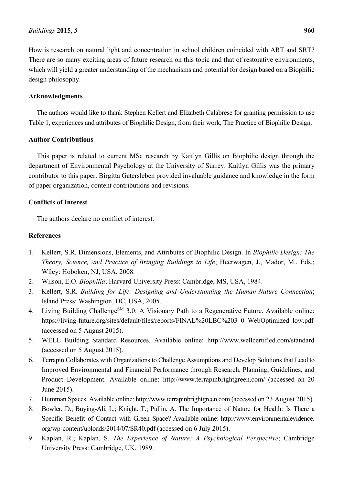How is research on natural light and concentration in school children coincided with ART and SRT? There are so many exciting areas of future research on this topic and that of restorative environments, which will yield a greater understanding of the mechanisms and potential for design based on a Biophilic design philosophy.

# **Acknowledgments**

The authors would like to thank Stephen Kellert and Elizabeth Calabrese for granting permission to use Table 1, experiences and attributes of Biophilic Design, from their work, The Practice of Biophilic Design.

# **Author Contributions**

This paper is related to current MSc research by Kaitlyn Gillis on Biophilic design through the department of Environmental Psychology at the University of Surrey. Kaitlyn Gillis was the primary contributor to this paper. Birgitta Gatersleben provided invaluable guidance and knowledge in the form of paper organization, content contributions and revisions.

# **Conflicts of Interest**

The authors declare no conflict of interest.

## **References**

- 1. Kellert, S.R. Dimensions, Elements, and Attributes of Biophilic Design. In *Biophilic Design: The Theory, Science, and Practice of Bringing Buildings to Life*; Heerwagen, J., Mador, M., Eds.; Wiley: Hoboken, NJ, USA, 2008.
- 2. Wilson, E.O. *Biophilia*; Harvard University Press: Cambridge, MS, USA, 1984.
- 3. Kellert, S.R. *Building for Life: Designing and Understanding the Human-Nature Connection*; Island Press: Washington, DC, USA, 2005.
- 4. Living Building Challenge<sup>SM</sup> 3.0: A Visionary Path to a Regenerative Future. Available online: https://living-future.org/sites/default/files/reports/FINAL%20LBC%203\_0\_WebOptimized\_low.pdf (accessed on 5 August 2015).
- 5. WELL Building Standard Resources. Available online: http://www.wellcertified.com/standard (accessed on 5 August 2015).
- 6. Terrapin Collaborates with Organizations to Challenge Assumptions and Develop Solutions that Lead to Improved Environmental and Financial Performance through Research, Planning, Guidelines, and Product Development. Available online: http://www.terrapinbrightgreen.com/ (accessed on 20 June 2015).
- 7. Humman Spaces. Available online: http://www.terrapinbrightgreen.com (accessed on 23 August 2015).
- 8. Bowler, D.; Buying-Ali, L.; Knight, T.; Pullin, A. The Importance of Nature for Health: Is There a Specific Benefit of Contact with Green Space? Available online: http://www.environmentalevidence. org/wp-content/uploads/2014/07/SR40.pdf (accessed on 6 July 2015).
- 9. Kaplan, R.; Kaplan, S. *The Experience of Nature: A Psychological Perspective*; Cambridge University Press: Cambridge, UK, 1989.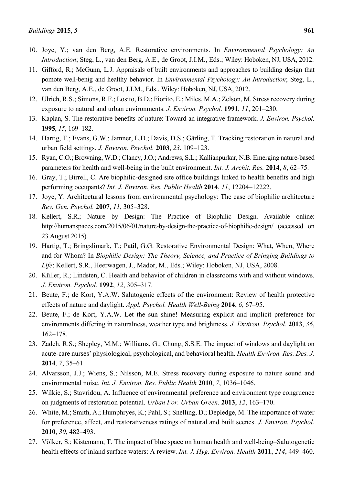- 10. Joye, Y.; van den Berg, A.E. Restorative environments. In *Environmental Psychology: An Introduction*; Steg, L., van den Berg, A.E., de Groot, J.I.M., Eds.; Wiley: Hoboken, NJ, USA, 2012.
- 11. Gifford, R.; McGunn, L.J. Appraisals of built environments and approaches to building design that pomote well-benig and healthy behavior. In *Environmental Psychology: An Introduction*; Steg, L., van den Berg, A.E., de Groot, J.I.M., Eds., Wiley: Hoboken, NJ, USA, 2012.
- 12. Ulrich, R.S.; Simons, R.F.; Losito, B.D.; Fiorito, E.; Miles, M.A.; Zelson, M. Stress recovery during exposure to natural and urban environments. *J. Environ. Psychol.* **1991**, *11*, 201–230.
- 13. Kaplan, S. The restorative benefits of nature: Toward an integrative framework. *J. Environ. Psychol.* **1995**, *15*, 169–182.
- 14. Hartig, T.; Evans, G.W.; Jamner, L.D.; Davis, D.S.; Gärling, T. Tracking restoration in natural and urban field settings. *J. Environ. Psychol.* **2003**, *23*, 109–123.
- 15. Ryan, C.O.; Browning, W.D.; Clancy, J.O.; Andrews, S.L.; Kallianpurkar, N.B. Emerging nature-based parameters for health and well-being in the built environment. *Int. J. Archit. Res.* **2014**, *8*, 62–75.
- 16. Gray, T.; Birrell, C. Are biophilic-designed site office buildings linked to health benefits and high performing occupants? *Int. J. Environ. Res. Public Health* **2014**, *11*, 12204–12222.
- 17. Joye, Y. Architectural lessons from environmental psychology: The case of biophilic architecture *Rev. Gen. Psychol.* **2007**, *11*, 305–328.
- 18. Kellert, S.R.; Nature by Design: The Practice of Biophilic Design. Available online: http://humanspaces.com/2015/06/01/nature-by-design-the-practice-of-biophilic-design/ (accessed on 23 August 2015).
- 19. Hartig, T.; Bringslimark, T.; Patil, G.G. Restorative Environmental Design: What, When, Where and for Whom? In *Biophilic Design: The Theory, Science, and Practice of Bringing Buildings to Life*; Kellert, S.R., Heerwagen, J., Mador, M., Eds.; Wiley: Hoboken, NJ, USA, 2008.
- 20. Küller, R.; Lindsten, C. Health and behavior of children in classrooms with and without windows. *J. Environ. Psychol.* **1992**, *12*, 305–317.
- 21. Beute, F.; de Kort, Y.A.W. Salutogenic effects of the environment: Review of health protective effects of nature and daylight. *Appl. Psychol. Health Well-Being* **2014**, *6*, 67–95.
- 22. Beute, F.; de Kort, Y.A.W. Let the sun shine! Measuring explicit and implicit preference for environments differing in naturalness, weather type and brightness. *J. Environ. Psychol.* **2013**, *36*, 162–178.
- 23. Zadeh, R.S.; Shepley, M.M.; Williams, G.; Chung, S.S.E. The impact of windows and daylight on acute-care nurses' physiological, psychological, and behavioral health. *Health Environ. Res. Des. J.* **2014**, *7*, 35–61.
- 24. Alvarsson, J.J.; Wiens, S.; Nilsson, M.E. Stress recovery during exposure to nature sound and environmental noise. *Int. J. Environ. Res. Public Health* **2010**, *7*, 1036–1046.
- 25. Wilkie, S.; Stavridou, A. Influence of environmental preference and environment type congruence on judgments of restoration potential. *Urban For. Urban Green.* **2013**, *12*, 163–170.
- 26. White, M.; Smith, A.; Humphryes, K.; Pahl, S.; Snelling, D.; Depledge, M. The importance of water for preference, affect, and restorativeness ratings of natural and built scenes. *J. Environ. Psychol.* **2010**, *30*, 482–493.
- 27. Völker, S.; Kistemann, T. The impact of blue space on human health and well-being–Salutogenetic health effects of inland surface waters: A review. *Int. J. Hyg. Environ. Health* **2011**, *214*, 449–460.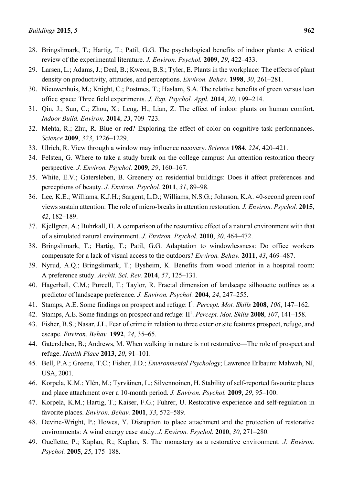- 28. Bringslimark, T.; Hartig, T.; Patil, G.G. The psychological benefits of indoor plants: A critical review of the experimental literature. *J. Environ. Psychol.* **2009**, *29*, 422–433.
- 29. Larsen, L.; Adams, J.; Deal, B.; Kweon, B.S.; Tyler, E. Plants in the workplace: The effects of plant density on productivity, attitudes, and perceptions. *Environ. Behav.* **1998**, *30*, 261–281.
- 30. Nieuwenhuis, M.; Knight, C.; Postmes, T.; Haslam, S.A. The relative benefits of green versus lean office space: Three field experiments. *J. Exp. Psychol. Appl.* **2014**, *20*, 199–214.
- 31. Qin, J.; Sun, C.; Zhou, X.; Leng, H.; Lian, Z. The effect of indoor plants on human comfort. *Indoor Build. Environ.* **2014**, *23*, 709–723.
- 32. Mehta, R.; Zhu, R. Blue or red? Exploring the effect of color on cognitive task performances. *Science* **2009**, *323*, 1226–1229.
- 33. Ulrich, R. View through a window may influence recovery. *Science* **1984**, *224*, 420–421.
- 34. Felsten, G. Where to take a study break on the college campus: An attention restoration theory perspective. *J. Environ. Psychol.* **2009**, *29*, 160–167.
- 35. White, E.V.; Gatersleben, B. Greenery on residential buildings: Does it affect preferences and perceptions of beauty. *J. Environ. Psychol.* **2011**, *31*, 89–98.
- 36. Lee, K.E.; Williams, K.J.H.; Sargent, L.D.; Williams, N.S.G.; Johnson, K.A. 40-second green roof views sustain attention: The role of micro-breaks in attention restoration. *J. Environ. Psychol.* **2015**, *42*, 182–189.
- 37. Kjellgren, A.; Buhrkall, H. A comparison of the restorative effect of a natural environment with that of a simulated natural environment. *J. Environ. Psychol.* **2010**, *30*, 464–472.
- 38. Bringslimark, T.; Hartig, T.; Patil, G.G. Adaptation to windowlessness: Do office workers compensate for a lack of visual access to the outdoors? *Environ. Behav.* **2011**, *43*, 469–487.
- 39. Nyrud, A.Q.; Bringslimark, T.; Bysheim, K. Benefits from wood interior in a hospital room: A preference study. *Archit. Sci. Rev.* **2014**, *57*, 125–131.
- 40. Hagerhall, C.M.; Purcell, T.; Taylor, R. Fractal dimension of landscape silhouette outlines as a predictor of landscape preference. *J. Environ. Psychol.* **2004**, *24*, 247–255.
- 41. Stamps, A.E. Some findings on prospect and refuge: I1 . *Percept. Mot. Skills* **2008**, *106*, 147–162.
- 42. Stamps, A.E. Some findings on prospect and refuge: II<sup>1</sup>. *Percept. Mot. Skills* 2008, 107, 141–158.
- 43. Fisher, B.S.; Nasar, J.L. Fear of crime in relation to three exterior site features prospect, refuge, and escape. *Environ. Behav.* **1992**, *24*, 35–65.
- 44. Gatersleben, B.; Andrews, M. When walking in nature is not restorative—The role of prospect and refuge. *Health Place* **2013**, *20*, 91–101.
- 45. Bell, P.A.; Greene, T.C.; Fisher, J.D.; *Environmental Psychology*; Lawrence Erlbaum: Mahwah, NJ, USA, 2001.
- 46. Korpela, K.M.; Ylén, M.; Tyrväinen, L.; Silvennoinen, H. Stability of self-reported favourite places and place attachment over a 10-month period. *J. Environ. Psychol.* **2009**, *29*, 95–100.
- 47. Korpela, K.M.; Hartig, T.; Kaiser, F.G.; Fuhrer, U. Restorative experience and self-regulation in favorite places. *Environ. Behav.* **2001**, *33*, 572–589.
- 48. Devine-Wright, P.; Howes, Y. Disruption to place attachment and the protection of restorative environments: A wind energy case study. *J. Environ. Psychol.* **2010**, *30*, 271–280.
- 49. Ouellette, P.; Kaplan, R.; Kaplan, S. The monastery as a restorative environment. *J. Environ. Psychol.* **2005**, *25*, 175–188.